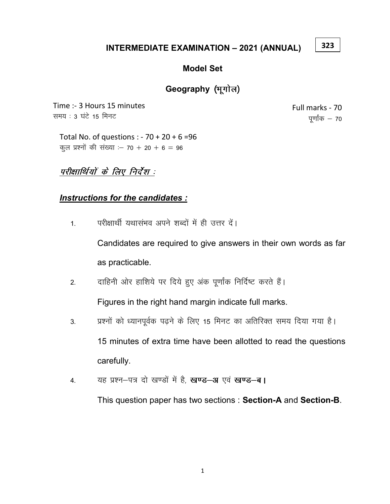#### INTERMEDIATE EXAMINATION – 2021 (ANNUAL)

#### Model Set

## Geography (भूगोल)

Time :- 3 Hours 15 minutes समय : 3 घंटे 15 मिनट

Full marks - 70 पूर्णांक $-70$ 

323

Total No. of questions : - 70 + 20 + 6 =96 कूल प्रश्नों की संख्या : – 70 + 20 + 6 = 96

# परीक्षार्थियों के लिए निर्देश :

## Instructions for the candidates :

1. परीक्षार्थी यथासंभव अपने शब्दों में ही उत्तर दें।

Candidates are required to give answers in their own words as far as practicable.

2. वाहिनी ओर हाशिये पर दिये हुए अंक पूर्णांक निर्दिष्ट करते हैं।

Figures in the right hand margin indicate full marks.

- 3. प्रश्नों को ध्यानपूर्वक पढ़ने के लिए 15 मिनट का अतिरिक्त समय दिया गया है। 15 minutes of extra time have been allotted to read the questions carefully.
- 4. यह प्रश्न-पत्र दो खण्डों में है, खण्ड-अ एवं खण्ड-ब।

This question paper has two sections : Section-A and Section-B.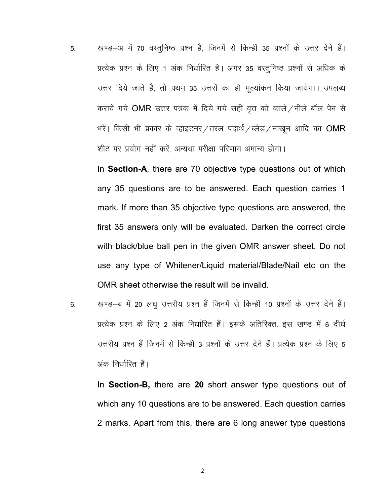5. व्यण्ड-अ में 70 वस्तूनिष्ठ प्रश्न हैं, जिनमें से किन्हीं 35 प्रश्नों के उत्तर देने हैं। प्रत्येक प्रश्न के लिए 1 अंक निर्धारित है। अगर 35 वस्तुनिष्ठ प्रश्नों से अधिक के उत्तर दिये जाते हैं, तो प्रथम 35 उत्तरों का ही मूल्यांकन किया जायेगा। उपलब्ध कराये गये OMR उत्तर पत्रक में दिये गये सही वत्त को काले / नीले बॉल पेन से भरें। किसी भी प्रकार के व्हाइटनर/तरल पदार्थ/ब्लेड/नाखून आदि का OMR शीट पर प्रयोग नहीं करें, अन्यथा परीक्षा परिणाम अमान्य होगा।

In Section-A, there are 70 objective type questions out of which any 35 questions are to be answered. Each question carries 1 mark. If more than 35 objective type questions are answered, the first 35 answers only will be evaluated. Darken the correct circle with black/blue ball pen in the given OMR answer sheet. Do not use any type of Whitener/Liquid material/Blade/Nail etc on the OMR sheet otherwise the result will be invalid.

6. खण्ड—ब में 20 लघू उत्तरीय प्रश्न हैं जिनमें से किन्हीं 10 प्रश्नों के उत्तर देने हैं। प्रत्येक प्रश्न के लिए 2 अंक निर्धारित हैं। इसके अतिरिक्त, इस खण्ड में 6 दीर्घ उत्तरीय प्रश्न हैं जिनमें से किन्हीं 3 प्रश्नों के उत्तर देने हैं। प्रत्येक प्रश्न के लिए 5 अंक निर्धारित हैं।

In Section-B, there are 20 short answer type questions out of which any 10 questions are to be answered. Each question carries 2 marks. Apart from this, there are 6 long answer type questions

2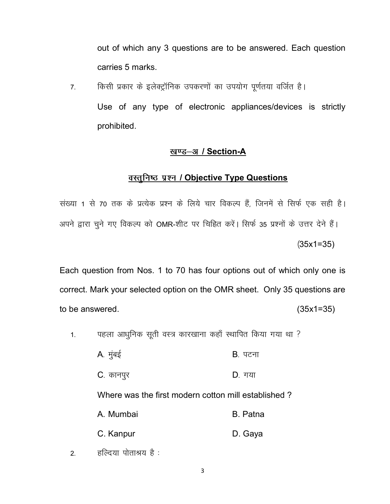out of which any 3 questions are to be answered. Each question carries 5 marks.

7. किसी प्रकार के इलेक्ट्रॉनिक उपकरणों का उपयोग पूर्णतया वर्जित है।

Use of any type of electronic appliances/devices is strictly prohibited.

### <u>खण्ड–अ / Section-A</u>

### <u>वस्तुनिष्ठ प्रश्न / Objective Type Questions</u>

संख्या 1 से 70 तक के प्रत्येक प्रश्न के लिये चार विकल्प हैं, जिनमें से सिर्फ एक सही है। अपने द्वारा चूने गए विकल्प को OMR-शीट पर चिह्नित करें। सिर्फ 35 प्रश्नों के उत्तर देने हैं।  $(35x1=35)$ 

Each question from Nos. 1 to 70 has four options out of which only one is correct. Mark your selected option on the OMR sheet. Only 35 questions are to be answered.  $(35x1=35)$ 

1. पहला आधुनिक सूती वस्त्र कारखाना कहाँ स्थापित किया गया था ?

| A. मुंबई                                            | B. पटना  |
|-----------------------------------------------------|----------|
| C. कानपुर                                           | D. गया   |
| Where was the first modern cotton mill established? |          |
| A. Mumbai                                           | B. Patna |
| C. Kanpur                                           | D. Gaya  |
|                                                     |          |

2. हल्दिया पोताश्रय है: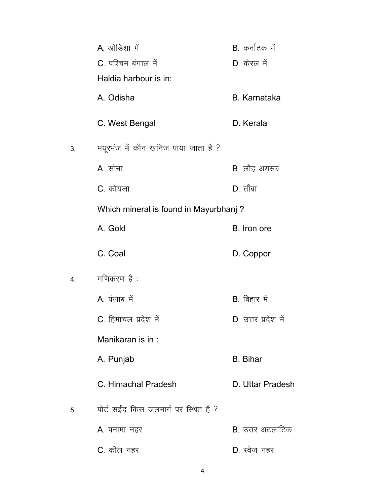|    | A ओडिशा में                           | B. कर्नाटक में       |
|----|---------------------------------------|----------------------|
|    | C. पश्चिम बंगाल में                   | D. केरल में          |
|    | Haldia harbour is in:                 |                      |
|    | A. Odisha                             | <b>B.</b> Karnataka  |
|    | C. West Bengal                        | D. Kerala            |
| 3. | मयूरभंज में कौन खनिज पाया जाता है ?   |                      |
|    | A. सोना                               | <b>B</b> . लौह अयस्क |
|    | C. कोयला                              | $D.$ ताँबा           |
|    | Which mineral is found in Mayurbhanj? |                      |
|    | A. Gold                               | B. Iron ore          |
|    | C. Coal                               | D. Copper            |
| 4. | मणिकरण है :                           |                      |
|    | A. पंजाब में                          | B. बिहार में         |
|    | C. हिमाचल प्रदेश में                  | D. उत्तर प्रदेश में  |
|    | Manikaran is in:                      |                      |
|    | A. Punjab                             | <b>B.</b> Bihar      |
|    | C. Himachal Pradesh                   | D. Uttar Pradesh     |
| 5. | पोर्ट सईद किस जलमार्ग पर स्थित है ?   |                      |
|    | <b>A</b> . पनामा नहर                  | B. उत्तर अटलांटिक    |
|    | C. कील नहर                            | D. स्वेज नहर         |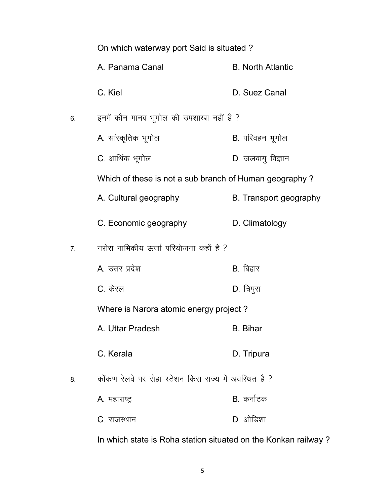|    | On which waterway port Said is situated?               |                          |  |
|----|--------------------------------------------------------|--------------------------|--|
|    | A. Panama Canal                                        | <b>B. North Atlantic</b> |  |
|    | C. Kiel                                                | D. Suez Canal            |  |
| 6. | इनमें कौन मानव भूगोल की उपशाखा नहीं है ?               |                          |  |
|    | A. सांस्कृतिक भूगोल                                    | B. परिवहन भूगोल          |  |
|    | C. आर्थिक भूगोल                                        | D. जलवायु विज्ञान        |  |
|    | Which of these is not a sub branch of Human geography? |                          |  |
|    | A. Cultural geography                                  | B. Transport geography   |  |
|    | C. Economic geography                                  | D. Climatology           |  |
| 7. | नरोरा नाभिकीय ऊर्जा परियोजना कहाँ है ?                 |                          |  |
|    | A. उत्तर प्रदेश                                        | B. बिहार                 |  |
|    | C. केरल                                                | D. त्रिपुरा              |  |
|    | Where is Narora atomic energy project?                 |                          |  |
|    | A. Uttar Pradesh                                       | <b>B.</b> Bihar          |  |
|    | C. Kerala                                              | D. Tripura               |  |
| 8. | कोंकण रेलवे पर रोहा स्टेशन किस राज्य में अवस्थित है ?  |                          |  |
|    | A. महाराष्ट्र                                          | B कर्नाटक                |  |
|    | C. राजस्थान                                            | $D.$ ओडिशा               |  |

In which state is Roha station situated on the Konkan railway ?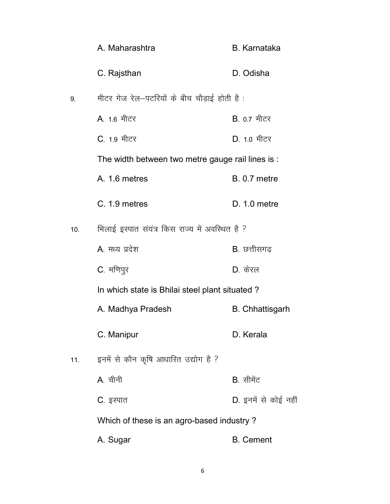|     | A. Maharashtra                                    | <b>B.</b> Karnataka    |
|-----|---------------------------------------------------|------------------------|
|     | C. Rajsthan                                       | D. Odisha              |
| 9.  | मीटर गेज रेल—पटरियों के बीच चौड़ाई होती है :      |                        |
|     | A 1.6 मीटर                                        | B. 0.7 मीटर            |
|     | C. 1.9 मीटर                                       | D. 1.0 मीटर            |
|     | The width between two metre gauge rail lines is : |                        |
|     | A. 1.6 metres                                     | <b>B.</b> 0.7 metre    |
|     | C. 1.9 metres                                     | $D. 1.0$ metre         |
| 10. | भिलाई इस्पात संयंत्र किस राज्य में अवस्थित है ?   |                        |
|     | A. मध्य प्रदेश                                    | B. छत्तीसगढ़           |
|     | C. मणिपुर                                         | $D_{\cdot}$ केरल       |
|     | In which state is Bhilai steel plant situated?    |                        |
|     | A. Madhya Pradesh                                 | <b>B.</b> Chhattisgarh |
|     | C. Manipur                                        | D. Kerala              |
| 11. | इनमें से कौन कृषि आधारित उद्योग है ?              |                        |
|     | A. चीनी                                           | B. सीमेंट              |
|     | C. इस्पात                                         | D. इनमें से कोई नहीं   |
|     | Which of these is an agro-based industry?         |                        |
|     | A. Sugar                                          | <b>B.</b> Cement       |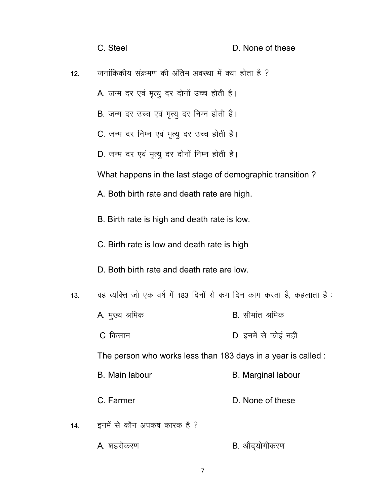|     | C. Steel                                                               | D. None of these          |
|-----|------------------------------------------------------------------------|---------------------------|
| 12. | जनांकिकीय संक्रमण की अंतिम अवस्था में क्या होता है ?                   |                           |
|     | A. जन्म दर एवं मृत्यु दर दोनों उच्च होती है।                           |                           |
|     | B. जन्म दर उच्च एवं मृत्यु दर निम्न होती है।                           |                           |
|     | C. जन्म दर निम्न एवं मृत्यु दर उच्च होती है।                           |                           |
|     | D. जन्म दर एवं मृत्यु दर दोनों निम्न होती है।                          |                           |
|     | What happens in the last stage of demographic transition?              |                           |
|     | A. Both birth rate and death rate are high.                            |                           |
|     | B. Birth rate is high and death rate is low.                           |                           |
|     | C. Birth rate is low and death rate is high                            |                           |
|     | D. Both birth rate and death rate are low.                             |                           |
| 13. | वह व्यक्ति जो एक वर्ष में 183 दिनों से कम दिन काम करता है, कहलाता है : |                           |
|     | A. मुख्य श्रमिक                                                        | <b>B</b> . सीमांत श्रमिक  |
|     | C किसान                                                                | D. इनमें से कोई नहीं      |
|     | The person who works less than 183 days in a year is called :          |                           |
|     | <b>B.</b> Main labour                                                  | <b>B.</b> Marginal labour |
|     | C. Farmer                                                              | D. None of these          |
| 14. | इनमें से कौन अपकर्ष कारक है ?                                          |                           |
|     | A. शहरीकरण                                                             | <b>B</b> . औद्योगीकरण     |

7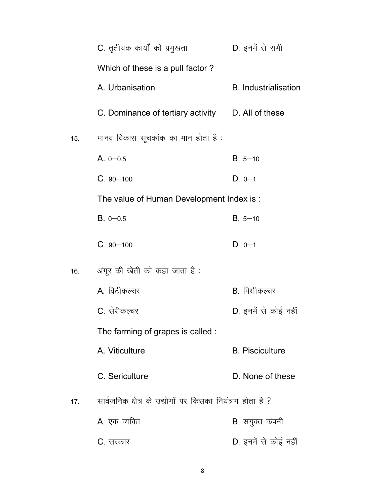|     | C. तृतीयक कार्यों की प्रमुखता                             | D. इनमें से सभी             |
|-----|-----------------------------------------------------------|-----------------------------|
|     | Which of these is a pull factor?                          |                             |
|     | A. Urbanisation                                           | <b>B.</b> Industrialisation |
|     | C. Dominance of tertiary activity D. All of these         |                             |
| 15. | मानव विकास सूचकांक का मान होता है :                       |                             |
|     | A. $0 - 0.5$                                              | $B. 5 - 10$                 |
|     | $C.90 - 100$                                              | $D. 0-1$                    |
|     | The value of Human Development Index is :                 |                             |
|     | $B. 0 - 0.5$                                              | $B. 5 - 10$                 |
|     | $C.90 - 100$                                              | $D. 0-1$                    |
| 16. | अंगूर की खेती को कहा जाता है :                            |                             |
|     | A. विटीकल्चर                                              | B. पिसीकल्चर                |
|     | C. सेरीकल्चर                                              | D. इनमें से कोई नहीं        |
|     | The farming of grapes is called :                         |                             |
|     | A. Viticulture                                            | <b>B.</b> Pisciculture      |
|     | C. Sericulture                                            | D. None of these            |
| 17. | सार्वजनिक क्षेत्र के उद्योगों पर किसका नियंत्रण होता है ? |                             |
|     | A. एक व्यक्ति                                             | <b>B</b> . संयुक्त कंपनी    |
|     | C. सरकार                                                  | D. इनमें से कोई नहीं        |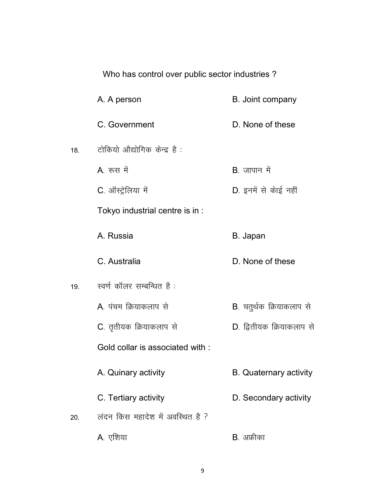|     | Who has control over public sector industries? |                                  |  |
|-----|------------------------------------------------|----------------------------------|--|
|     | A. A person                                    | B. Joint company                 |  |
|     | C. Government                                  | D. None of these                 |  |
| 18. | टोकियो औद्योगिक केन्द्र है:                    |                                  |  |
|     | A रूस में                                      | B. जापान में                     |  |
|     | C. ऑस्ट्रेलिया में                             | D. इनमें से कोई नहीं             |  |
|     | Tokyo industrial centre is in :                |                                  |  |
|     | A. Russia                                      | B. Japan                         |  |
|     | C. Australia                                   | D. None of these                 |  |
| 19. | स्वर्ण कॉलर सम्बन्धित है :                     |                                  |  |
|     | A. पंचम क्रियाकलाप से                          | <b>B</b> . चतुर्थक क्रियाकलाप से |  |
|     | C. तृतीयक क्रियाकलाप से                        | D. द्वितीयक क्रियाकलाप से        |  |
|     | Gold collar is associated with:                |                                  |  |
|     | A. Quinary activity                            | <b>B.</b> Quaternary activity    |  |
|     | C. Tertiary activity                           | D. Secondary activity            |  |
| 20. | लंदन किस महादेश में अवस्थित है ?               |                                  |  |
|     | A. एशिया                                       | B. अफ्रीका                       |  |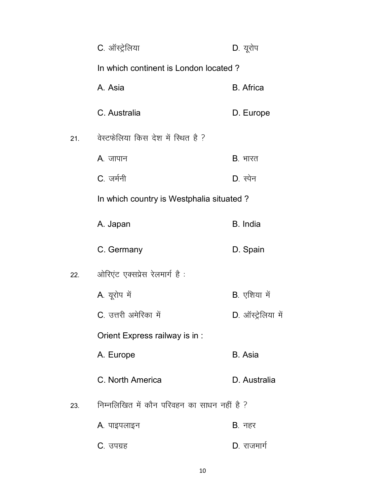|     | C. ऑस्ट्रेलिया                              | D. यूरोप           |  |
|-----|---------------------------------------------|--------------------|--|
|     | In which continent is London located?       |                    |  |
|     | A. Asia                                     | <b>B.</b> Africa   |  |
|     | C. Australia                                | D. Europe          |  |
| 21. | वेस्टफेलिया किस देश में स्थित है ?          |                    |  |
|     | <b>A</b> . जापान                            | <b>B</b> . भारत    |  |
|     | C जर्मनी                                    | $D.$ स्पेन         |  |
|     | In which country is Westphalia situated?    |                    |  |
|     | A. Japan                                    | B. India           |  |
|     | C. Germany                                  | D. Spain           |  |
| 22. | ओरिएंट एक्सप्रेस रेलमार्ग है :              |                    |  |
|     | A. यूरोप में                                | B. एशिया में       |  |
|     | C. उत्तरी अमेरिका में                       | D. ऑस्ट्रेलिया में |  |
|     | Orient Express railway is in :              |                    |  |
|     | A. Europe                                   | B. Asia            |  |
|     | C. North America                            | D. Australia       |  |
| 23. | निम्नलिखित में कौन परिवहन का साधन नहीं है ? |                    |  |
|     | A. पाइपलाइन                                 | $B.$ नहर           |  |
|     | C. उपग्रह                                   | D. राजमार्ग        |  |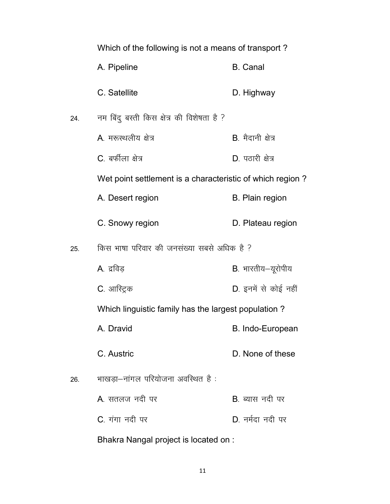|     | Which of the following is not a means of transport?       |                        |
|-----|-----------------------------------------------------------|------------------------|
|     | A. Pipeline                                               | <b>B.</b> Canal        |
|     | C. Satellite                                              | D. Highway             |
| 24. | नम बिंदु बस्ती किस क्षेत्र की विशेषता है ?                |                        |
|     | A. मरूस्थलीय क्षेत्र                                      | B. मैदानी क्षेत्र      |
|     | C. बर्फीला क्षेत्र                                        | D. पठारी क्षेत्र       |
|     | Wet point settlement is a characteristic of which region? |                        |
|     | A. Desert region                                          | <b>B.</b> Plain region |
|     | C. Snowy region                                           | D. Plateau region      |
| 25. | किस भाषा परिवार की जनसंख्या सबसे अधिक है ?                |                        |
|     | A. द्रविड़                                                | B. भारतीय-यूरोपीय      |
|     | C. आस्ट्रिक                                               | D. इनमें से कोई नहीं   |
|     | Which linguistic family has the largest population?       |                        |
|     | A. Dravid                                                 | B. Indo-European       |
|     | C. Austric                                                | D. None of these       |
| 26. | भाखड़ा-नांगल परियोजना अवस्थित है:                         |                        |
|     | A सतलज नदी पर                                             | $B$ ब्यास नदी पर       |
|     | C. गंगा नदी पर                                            | D. नर्मदा नदी पर       |
|     |                                                           |                        |

Bhakra Nangal project is located on :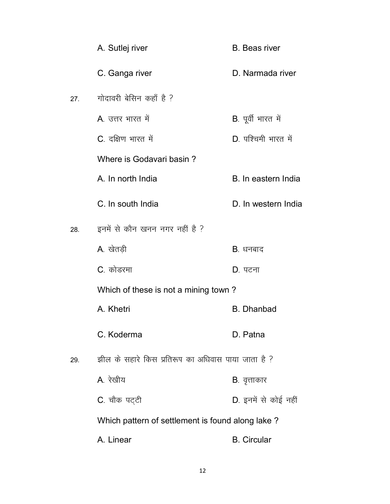|     | A. Sutlej river                                    | <b>B.</b> Beas river |
|-----|----------------------------------------------------|----------------------|
|     | C. Ganga river                                     | D. Narmada river     |
| 27. | गोदावरी बेसिन कहाँ है ?                            |                      |
|     | A. उत्तर भारत में                                  | B. पूर्वी भारत में   |
|     | C. दक्षिण भारत में                                 | D. पश्चिमी भारत में  |
|     | Where is Godavari basin?                           |                      |
|     | A. In north India                                  | B. In eastern India  |
|     | C. In south India                                  | D. In western India  |
| 28. | इनमें से कौन खनन नगर नहीं है ?                     |                      |
|     | A. खेतड़ी                                          | B. धनबाद             |
|     | C. कोडरमा                                          | D. पटना              |
|     | Which of these is not a mining town?               |                      |
|     | A. Khetri                                          | <b>B.</b> Dhanbad    |
|     | C. Koderma                                         | D. Patna             |
| 29. | झील के सहारे किस प्रतिरूप का अधिवास पाया जाता है ? |                      |
|     | A. रेखीय                                           | <b>B</b> . वृत्ताकार |
|     | C. चौक पट्टी                                       | D. इनमें से कोई नहीं |
|     | Which pattern of settlement is found along lake?   |                      |
|     | A. Linear                                          | <b>B.</b> Circular   |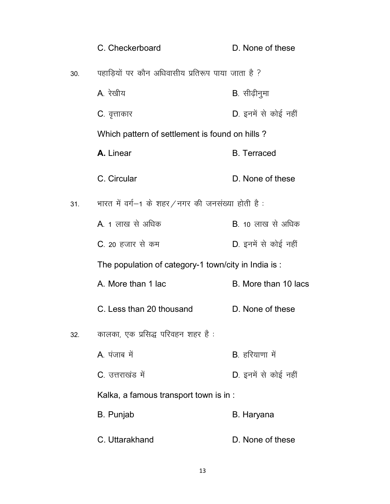|     | C. Checkerboard                                      | D. None of these     |
|-----|------------------------------------------------------|----------------------|
| 30. | पहाडियों पर कौन अधिवासीय प्रतिरूप पाया जाता है ?     |                      |
|     | A रेखीय                                              | B. सीढ़ीनुमा         |
|     | <b>C</b> . वृत्ताकार                                 | D. इनमें से कोई नहीं |
|     | Which pattern of settlement is found on hills?       |                      |
|     | A. Linear                                            | <b>B.</b> Terraced   |
|     | C. Circular                                          | D. None of these     |
| 31. | भारत में वर्ग—1 के शहर⁄नगर की जनसंख्या होती है :     |                      |
|     | A. 1 लाख से अधिक                                     | B. 10 लाख से अधिक    |
|     | C. 20 हजार से कम                                     | D. इनमें से कोई नहीं |
|     | The population of category-1 town/city in India is : |                      |
|     | A. More than 1 lac                                   | B. More than 10 lacs |
|     | C. Less than 20 thousand                             | D. None of these     |
| 32. | कालका, एक प्रसिद्ध परिवहन शहर है :                   |                      |
|     | A पंजाब में                                          | B. हरियाणा में       |
|     | C. उत्तराखंड में                                     | D. इनमें से कोई नहीं |
|     | Kalka, a famous transport town is in :               |                      |
|     | B. Punjab                                            | B. Haryana           |
|     | C. Uttarakhand                                       | D. None of these     |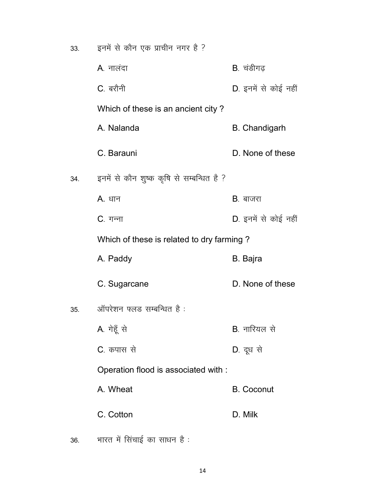| 33. | इनमें से कौन एक प्राचीन नगर है ?          |                      |
|-----|-------------------------------------------|----------------------|
|     | A. नालंदा                                 | B. चंडीगढ़           |
|     | C. बरौनी                                  | D. इनमें से कोई नहीं |
|     | Which of these is an ancient city?        |                      |
|     | A. Nalanda                                | <b>B.</b> Chandigarh |
|     | C. Barauni                                | D. None of these     |
| 34. | इनमें से कौन शुष्क कृषि से सम्बन्धित है ? |                      |
|     | A. धान                                    | <b>B</b> . बाजरा     |
|     | C. गन्ना                                  | D. इनमें से कोई नहीं |
|     | Which of these is related to dry farming? |                      |
|     | A. Paddy                                  | B. Bajra             |
|     | C. Sugarcane                              | D. None of these     |
| 35. | ऑपरेशन फ्लड सम्बन्धित है:                 |                      |
|     | A. गेहूँ से                               | <b>B</b> . नारियल से |
|     | C. कपास से                                | D. दूध से            |
|     | Operation flood is associated with :      |                      |
|     | A. Wheat                                  | <b>B.</b> Coconut    |
|     | C. Cotton                                 | D. Milk              |

 $36.$  भारत में सिंचाई का साधन है :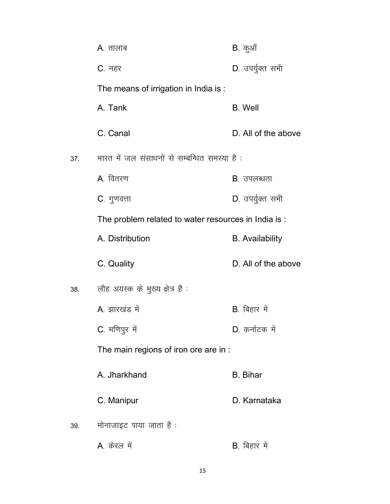|     | A. तालाब                                             | B. कुऑं                |
|-----|------------------------------------------------------|------------------------|
|     | C. नहर                                               | D. उपर्युक्त सभी       |
|     | The means of irrigation in India is :                |                        |
|     | A. Tank                                              | <b>B.</b> Well         |
|     | C. Canal                                             | D. All of the above    |
| 37. | भारत में जल संसाधनों से सम्बन्धित समस्या है:         |                        |
|     | A. वितरण                                             | <b>B</b> . उपलब्धता    |
|     | C. गुणवत्ता                                          | D. उपर्युक्त सभी       |
|     | The problem related to water resources in India is : |                        |
|     | A. Distribution                                      | <b>B.</b> Availability |
|     | C. Quality                                           | D. All of the above    |
| 38. | लौह अयस्क के मुख्य क्षेत्र हैं :                     |                        |
|     | A. झारखंड में                                        | B. बिहार में           |
|     | C. मणिपुर में                                        | D. कर्नाटक में         |
|     | The main regions of iron ore are in :                |                        |
|     | A. Jharkhand                                         | <b>B.</b> Bihar        |
|     | C. Manipur                                           | D. Karnataka           |
| 39. | मोनाजाइट पाया जाता है :                              |                        |
|     | A. केरल में                                          | B. बिहार में           |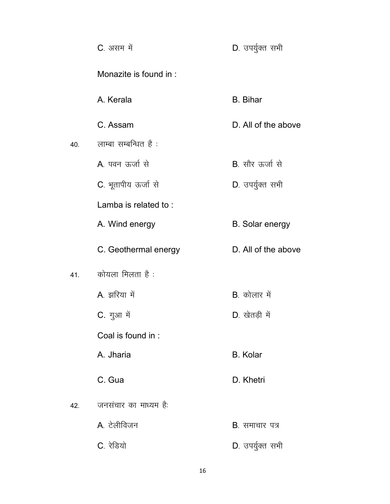|     | C. असम में             | D. उपर्युक्त सभी        |
|-----|------------------------|-------------------------|
|     | Monazite is found in : |                         |
|     | A. Kerala              | <b>B.</b> Bihar         |
|     | C. Assam               | D. All of the above     |
| 40. | लाम्बा सम्बन्धित है :  |                         |
|     | A पवन ऊर्जा से         | <b>B</b> . सौर ऊर्जा से |
|     | C. भूतापीय ऊर्जा से    | D. उपर्युक्त सभी        |
|     | Lamba is related to:   |                         |
|     | A. Wind energy         | <b>B.</b> Solar energy  |
|     | C. Geothermal energy   | D. All of the above     |
| 41. | कोयला मिलता है :       |                         |
|     | A. झरिया में           | B. कोलार में            |
|     | C. गुआ में             | D. खेतड़ी में           |
|     | Coal is found in:      |                         |
|     | A. Jharia              | <b>B.</b> Kolar         |
|     | C. Gua                 | D. Khetri               |
| 42. | जनसंचार का माध्यम है:  |                         |
|     | A. टेलीविजन            | <b>B</b> . समाचार पत्र  |
|     | C. रेडियो              | D. उपर्युक्त सभी        |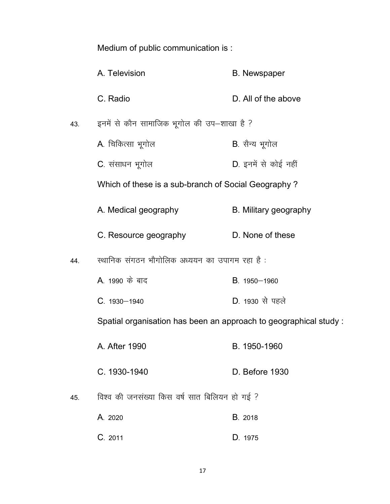Medium of public communication is :

|     | A. Television                                                    | <b>B.</b> Newspaper   |
|-----|------------------------------------------------------------------|-----------------------|
|     | C. Radio                                                         | D. All of the above   |
| 43. | इनमें से कौन सामाजिक भूगोल की उप–शाखा है ?                       |                       |
|     | A. चिकित्सा भूगोल                                                | B. सैन्य भूगोल        |
|     | C. संसाधन भूगोल                                                  | D. इनमें से कोई नहीं  |
|     | Which of these is a sub-branch of Social Geography?              |                       |
|     | A. Medical geography                                             | B. Military geography |
|     | C. Resource geography                                            | D. None of these      |
| 44. | स्थानिक संगठन भौगोलिक अध्ययन का उपागम रहा है:                    |                       |
|     | A. 1990 के बाद                                                   | B. 1950-1960          |
|     | $C. 1930 - 1940$                                                 | D. 1930 से पहले       |
|     | Spatial organisation has been an approach to geographical study: |                       |
|     | A. After 1990                                                    | B. 1950-1960          |
|     | C. 1930-1940                                                     | D. Before 1930        |
| 45. | विश्व की जनसंख्या किस वर्ष सात बिलियन हो गई ?                    |                       |
|     | A. 2020                                                          | B. 2018               |
|     | C. 2011                                                          | D. 1975               |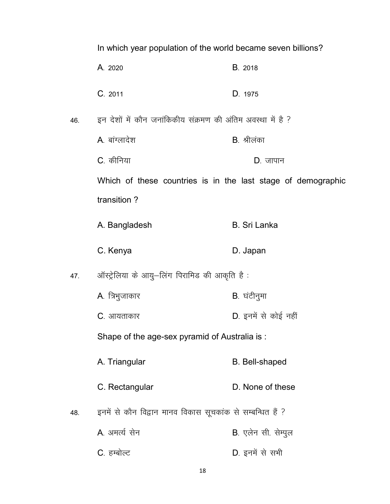In which year population of the world became seven billions?

- A. 2020 B. 2018
- C<sub>2011</sub> D<sub>-1975</sub> D<sub>-1975</sub>
- 46. हन देशों में कौन जनांकिकीय संक्रमण की अंतिम अवस्था में है ?
	- A. बांग्लादेश करता है and B. श्रीलंका
	- C. कीनिया दिया का सामान करते हैं। एक प्राप्त का प्राप्त करते हैं कि सामान
	- Which of these countries is in the last stage of demographic transition ?
	- A. Bangladesh B. Sri Lanka
	- C. Kenya D. Japan
- 47. ऑस्ट्रेलिया के आयु–लिंग पिरामिड की आकृति है:
	- A. त्रिभुजाकार बाट कर के साथ B. घंटीनुमा
	- C. आयताकार बाद कर 2011 को पर D. इनमें से कोई नहीं

Shape of the age-sex pyramid of Australia is :

- A. Triangular B. Bell-shaped
- C. Rectangular D. None of these
- 48. इनमें से कौन विद्वान मानव विकास सूचकांक से सम्बन्धित हैं ?
	- A. अमर्त्य सेन बाद से कारण B. एलेन सी. सेम्पूल
	- C. हम्बोल्ट बाट कर 2012 को समी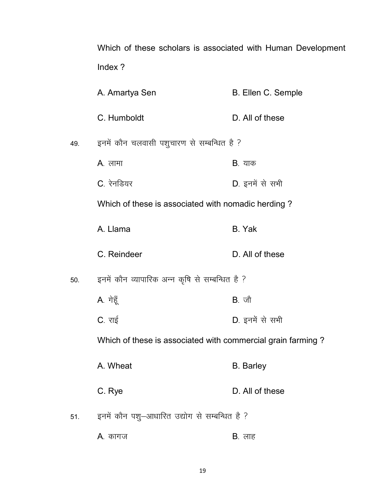Which of these scholars is associated with Human Development Index ?

|     | A. Amartya Sen                                              | B. Ellen C. Semple |
|-----|-------------------------------------------------------------|--------------------|
|     | C. Humboldt                                                 | D. All of these    |
| 49. | इनमें कौन चलवासी पशुचारण से सम्बन्धित है ?                  |                    |
|     | <b>A</b> . लामा                                             | <b>B</b> . याक     |
|     | C. रेनडियर                                                  | D. इनमें से सभी    |
|     | Which of these is associated with nomadic herding?          |                    |
|     | A. Llama                                                    | B. Yak             |
|     | C. Reindeer                                                 | D. All of these    |
| 50. | इनमें कौन व्यापारिक अन्न कृषि से सम्बन्धित है ?             |                    |
|     | A. गेहूँ                                                    | $B.$ जौ            |
|     | C. राई                                                      | D. इनमें से सभी    |
|     | Which of these is associated with commercial grain farming? |                    |
|     | A. Wheat                                                    | <b>B.</b> Barley   |
|     | C. Rye                                                      | D. All of these    |
| 51. | इनमें कौन पशु-आधारित उद्योग से सम्बन्धित है ?               |                    |
|     | A. कागज                                                     | <b>B</b> . लाह     |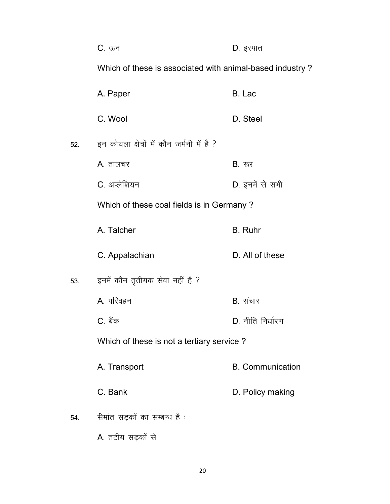|     | C. ऊन                                                    | D. इस्पात               |
|-----|----------------------------------------------------------|-------------------------|
|     | Which of these is associated with animal-based industry? |                         |
|     | A. Paper                                                 | B. Lac                  |
|     | C. Wool                                                  | D. Steel                |
| 52. | इन कोयला क्षेत्रों में कौन जर्मनी में है ?               |                         |
|     | A. तालचर                                                 | $B.$ रुर                |
|     | C. अप्लेशियन                                             | D. इनमें से सभी         |
|     | Which of these coal fields is in Germany?                |                         |
|     | A. Talcher                                               | B. Ruhr                 |
|     | C. Appalachian                                           | D. All of these         |
| 53. | इनमें कौन तृतीयक सेवा नहीं है ?                          |                         |
|     | A. परिवहन                                                | B. संचार                |
|     | C. बैंक                                                  | D. नीति निर्धारण        |
|     | Which of these is not a tertiary service?                |                         |
|     | A. Transport                                             | <b>B.</b> Communication |
|     | C. Bank                                                  | D. Policy making        |
| 54. | सेमांत सड़कों का सम्बन्ध है :                            |                         |
|     | A. तटीय सड़कों से                                        |                         |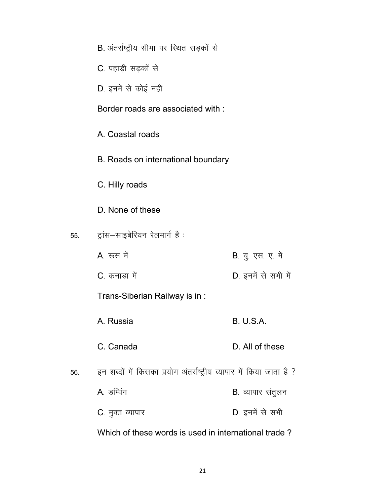|     | B. अंतर्राष्ट्रीय सीमा पर स्थित सड़कों से                            |                           |
|-----|----------------------------------------------------------------------|---------------------------|
|     | C. पहाड़ी सड़कों से                                                  |                           |
|     | D. इनमें से कोई नहीं                                                 |                           |
|     | Border roads are associated with:                                    |                           |
|     | A. Coastal roads                                                     |                           |
|     | B. Roads on international boundary                                   |                           |
|     | C. Hilly roads                                                       |                           |
|     | D. None of these                                                     |                           |
| 55. | ट्रांस—साइबेरियन रेलमार्ग है :                                       |                           |
|     | A. रूस में                                                           | <b>B</b> . यु. एस. ए. में |
|     | C. कनाडा में                                                         | D. इनमें से सभी में       |
|     | Trans-Siberian Railway is in:                                        |                           |
|     | A. Russia                                                            | <b>B. U.S.A.</b>          |
|     | C. Canada                                                            | D. All of these           |
| 56. | इन शब्दों में किसका प्रयोग अंतर्राष्ट्रीय व्यापार में किया जाता है ? |                           |
|     | A डम्पिंग                                                            | <b>B</b> . व्यापार संतुलन |
|     | <b>C</b> . मुक्त व्यापार                                             | D. इनमें से सभी           |
|     | Which of these words is used in international trade?                 |                           |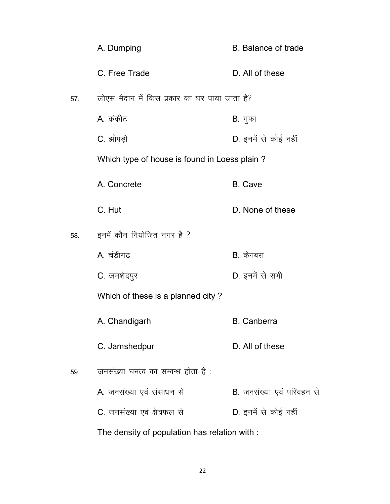|     | A. Dumping                                    | <b>B.</b> Balance of trade        |
|-----|-----------------------------------------------|-----------------------------------|
|     | C. Free Trade                                 | D. All of these                   |
| 57. | लोएस मैदान में किस प्रकार का घर पाया जाता है? |                                   |
|     | A. कंक्रीट                                    | B. गुफा                           |
|     | C. झोपड़ी                                     | D. इनमें से कोई नहीं              |
|     | Which type of house is found in Loess plain?  |                                   |
|     | A. Concrete                                   | <b>B.</b> Cave                    |
|     | C. Hut                                        | D. None of these                  |
| 58. | इनमें कौन नियोजित नगर है ?                    |                                   |
|     | A. चंडीगढ़                                    | B. केनबरा                         |
|     | C. जमशेदपुर                                   | D. इनमें से सभी                   |
|     | Which of these is a planned city?             |                                   |
|     | A. Chandigarh                                 | <b>B.</b> Canberra                |
|     | C. Jamshedpur                                 | D. All of these                   |
| 59. | जनसंख्या घनत्व का सम्बन्ध होता है:            |                                   |
|     | A. जनसंख्या एवं संसाधन से                     | <b>B</b> . जनसंख्या एवं परिवहन से |
|     | C. जनसंख्या एवं क्षेत्रफल से                  | D. इनमें से कोई नहीं              |
|     | The density of population has relation with : |                                   |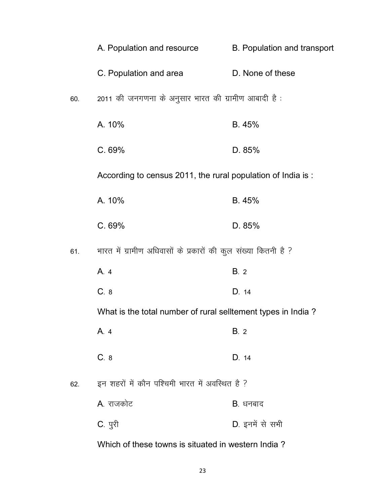|     | A. Population and resource                                     | B. Population and transport |
|-----|----------------------------------------------------------------|-----------------------------|
|     | C. Population and area                                         | D. None of these            |
| 60. | 2011 की जनगणना के अनुसार भारत की ग्रामीण आबादी है:             |                             |
|     | A. 10%                                                         | B. 45%                      |
|     | C.69%                                                          | D. 85%                      |
|     | According to census 2011, the rural population of India is:    |                             |
|     | A. 10%                                                         | B. 45%                      |
|     | C.69%                                                          | D. 85%                      |
| 61. | भारत में ग्रामीण अधिवासों के प्रकारों की कुल संख्या कितनी है ? |                             |
|     | A. 4                                                           | B.2                         |
|     | C. 8                                                           | D. 14                       |
|     | What is the total number of rural selltement types in India?   |                             |
|     | A.4                                                            | B.2                         |
|     | C.8                                                            | D. 14                       |
| 62. | इन शहरों में कौन पश्चिमी भारत में अवस्थित है ?                 |                             |
|     | A. राजकोट                                                      | B. धनबाद                    |
|     | C. पुरी                                                        | D. इनमें से सभी             |
|     | Which of these towns is situated in western India?             |                             |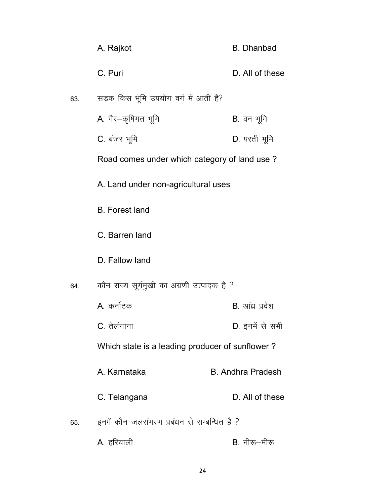|     | A. Rajkot                                       | <b>B.</b> Dhanbad        |
|-----|-------------------------------------------------|--------------------------|
|     | C. Puri                                         | D. All of these          |
| 63. | सड़क किस भूमि उपयोग वर्ग में आती है?            |                          |
|     | A. गैर–कृषिगत भूमि                              | B. वन भूमि               |
|     | C. बंजर भूमि                                    | D. परती भूमि             |
|     | Road comes under which category of land use?    |                          |
|     | A. Land under non-agricultural uses             |                          |
|     | <b>B.</b> Forest land                           |                          |
|     | C. Barren land                                  |                          |
|     | D. Fallow land                                  |                          |
| 64. | कौन राज्य सूर्यमुखी का अग्रणी उत्पादक है ?      |                          |
|     | A. कर्नाटक                                      | B. आंध्र प्रदेश          |
|     | C. तेलंगाना                                     | D. इनमें से सभी          |
|     | Which state is a leading producer of sunflower? |                          |
|     | A. Karnataka                                    | <b>B. Andhra Pradesh</b> |
|     | C. Telangana                                    | D. All of these          |
| 65. | इनमें कौन जलसंभरण प्रबंधन से सम्बन्धित है ?     |                          |
|     | A. हरियाली                                      | <b>B</b> . नीरू-मीरू     |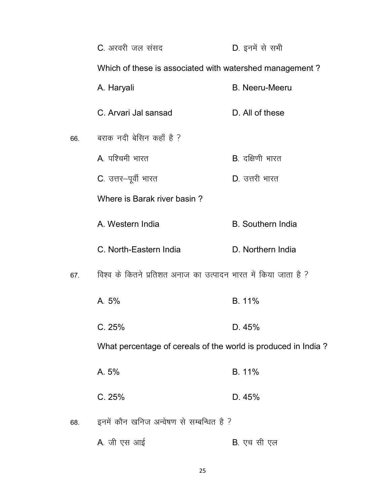|     | C. अरवरी जल संसद                                               | D. इनमें से सभी          |
|-----|----------------------------------------------------------------|--------------------------|
|     | Which of these is associated with watershed management?        |                          |
|     | A. Haryali                                                     | <b>B.</b> Neeru-Meeru    |
|     | C. Arvari Jal sansad                                           | D. All of these          |
| 66. | बराक नदी बेसिन कहाँ है ?                                       |                          |
|     | A. पश्चिमी भारत                                                | <b>B.</b> दक्षिणी भारत   |
|     | C. उत्तर-पूर्वी भारत                                           | D. उत्तरी भारत           |
|     | Where is Barak river basin?                                    |                          |
|     | A. Western India                                               | <b>B.</b> Southern India |
|     | C. North-Eastern India                                         | D. Northern India        |
| 67. | विश्व के कितने प्रतिशत अनाज का उत्पादन भारत में किया जाता है ? |                          |
|     | A. 5%                                                          | B. 11%                   |
|     | C.25%                                                          | D. 45%                   |
|     | What percentage of cereals of the world is produced in India?  |                          |
|     | A. 5%                                                          | B. 11%                   |
|     | C.25%                                                          | D. 45%                   |
| 68. | इनमें कौन खनिज अन्वेषण से सम्बन्धित है ?                       |                          |
|     | A. जी एस आई                                                    | B. एच सी एल              |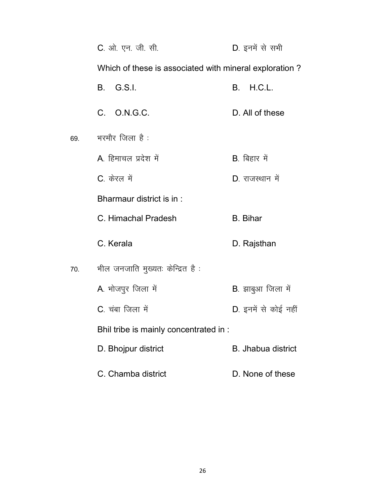|     | C. ओ. एन. जी. सी.                                      | D. इनमें से सभी           |
|-----|--------------------------------------------------------|---------------------------|
|     | Which of these is associated with mineral exploration? |                           |
|     | B. G.S.I.                                              | <b>B.</b> H.C.L.          |
|     | C. O.N.G.C.                                            | D. All of these           |
| 69. | भरमौर जिला है :                                        |                           |
|     | A. हिमाचल प्रदेश में                                   | <b>B</b> . बिहार में      |
|     | C. केरल में                                            | D. राजस्थान में           |
|     | Bharmaur district is in:                               |                           |
|     | C. Himachal Pradesh                                    | <b>B.</b> Bihar           |
|     | C. Kerala                                              | D. Rajsthan               |
| 70. | भील जनजाति मुख्यतः केन्द्रित है :                      |                           |
|     | A. भोजपुर जिला में                                     | B. झाबुआ जिला में         |
|     | C. चंबा जिला में                                       | D. इनमें से कोई नहीं      |
|     | Bhil tribe is mainly concentrated in :                 |                           |
|     | D. Bhojpur district                                    | <b>B.</b> Jhabua district |
|     | C. Chamba district                                     | D. None of these          |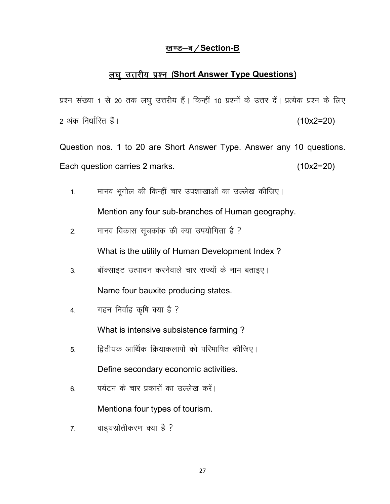#### <u>खण्ड-ब/Section-B</u>

### लघु उत्तरीय प्रश्न (Short Answer Type Questions)

प्रश्न संख्या 1 से 20 तक लघु उत्तरीय हैं। किन्हीं 10 प्रश्नों के उत्तर दें। प्रत्येक प्रश्न के लिए  $2 \text{ and } \text{Re}$  and  $2 = 20$ ) (10x2=20)

Question nos. 1 to 20 are Short Answer Type. Answer any 10 questions. Each question carries 2 marks. (10x2=20)

- 1. मानव भूगोल की किन्हीं चार उपशाखाओं का उल्लेख कीजिए। Mention any four sub-branches of Human geography.
- 2. मानव विकास सूचकांक की क्या उपयोगिता है ? What is the utility of Human Development Index ?
- 3. बॉक्साइट उत्पादन करनेवाले चार राज्यों के नाम बताइए। Name four bauxite producing states.
- 4. गहन निर्वाह कृषि क्या है ?

What is intensive subsistence farming ?

5- f}rh;d vkfFkZd fØ;kdykiksa dks ifjHkkf"kr dhft,A

Define secondary economic activities.

6. पर्यटन के चार प्रकारों का उल्लेख करें।

Mentiona four types of tourism.

7. वाहयस्रोतीकरण क्या है ?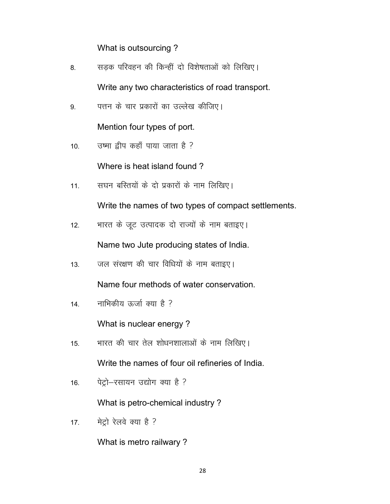What is outsourcing ?

| -8. | सड़क परिवहन की किन्हीं दो विशेषताओं को लिखिए।    |
|-----|--------------------------------------------------|
|     | Write any two characteristics of road transport. |

9. पत्तन के चार प्रकारों का उल्लेख कीजिए।

Mention four types of port.

 $10.$  उष्मा द्वीप कहाँ पाया जाता है ?

Where is heat island found ?

11. सघन बस्तियों के दो प्रकारों के नाम लिखिए।

Write the names of two types of compact settlements.

12. भारत के जूट उत्पादक दो राज्यों के नाम बताइए।

Name two Jute producing states of India.

13. जल संरक्षण की चार विधियों के नाम बताइए।

Name four methods of water conservation.

14. नाभिकीय ऊर्जा क्या है ?

What is nuclear energy ?

- 15. मारत की चार तेल शोधनशालाओं के नाम लिखिए। Write the names of four oil refineries of India.
- 16. पेट्रो-रसायन उद्योग क्या है ?

What is petro-chemical industry ?

17. मेट्रो रेलवे क्या है ?

What is metro railwary ?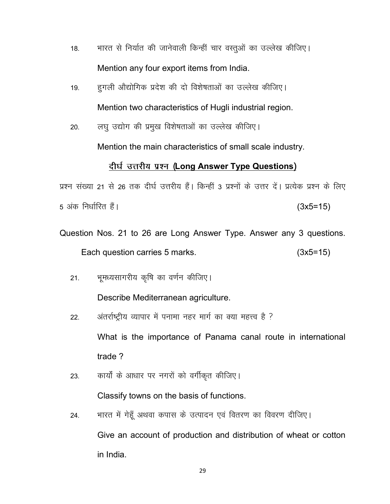- 18. भारत से निर्यात की जानेवाली किन्हीं चार वस्तूओं का उल्लेख कीजिए। Mention any four export items from India.
- 19. हगली औद्योगिक प्रदेश की दो विशेषताओं का उल्लेख कीजिए। Mention two characteristics of Hugli industrial region.
- 20. लघु उद्योग की प्रमुख विशेषताओं का उल्लेख कीजिए।

Mention the main characteristics of small scale industry.

# <u>दीर्घ उत्तरीय प्रश्न (Long Answer Type Questions)</u>

प्रश्न संख्या 21 से 26 तक दीर्घ उत्तरीय हैं। किन्हीं 3 प्रश्नों के उत्तर दें। प्रत्येक प्रश्न के लिए 5 vad fu/kkZfjr gSaA (3x5=15)

- Question Nos. 21 to 26 are Long Answer Type. Answer any 3 questions. Each question carries 5 marks. (3x5=15)
	- 21. भूमध्यसागरीय कृषि का वर्णन कीजिए।

Describe Mediterranean agriculture.

- 22. अंतर्राष्ट्रीय व्यापार में पनामा नहर मार्ग का क्या महत्त्व है ? What is the importance of Panama canal route in international trade ?
- 23. कार्यों के आधार पर नगरों को वर्गीकृत कीजिए। Classify towns on the basis of functions.
- 24. भारत में गेहूँ अथवा कपास के उत्पादन एवं वितरण का विवरण दीजिए। Give an account of production and distribution of wheat or cotton in India.